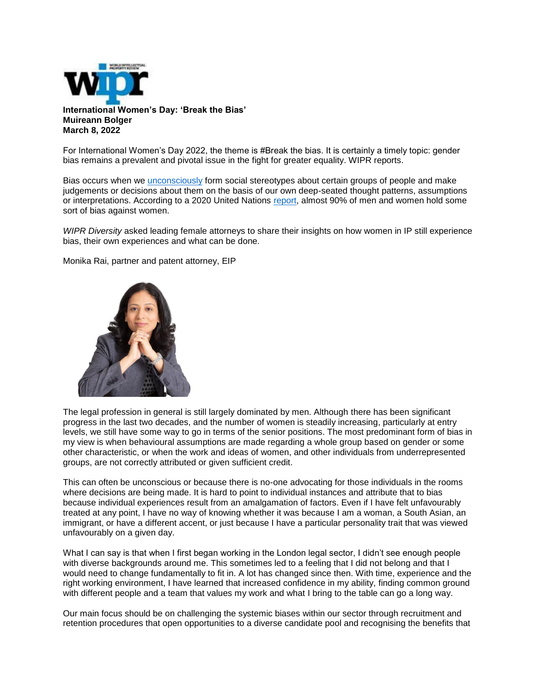

**International Women's Day: 'Break the Bias' Muireann Bolger March 8, 2022**

For International Women's Day 2022, the theme is #Break the bias. It is certainly a timely topic: gender bias remains a prevalent and pivotal issue in the fight for greater equality. WIPR reports.

Bias occurs when we [unconsciously](https://nam12.safelinks.protection.outlook.com/?url=https%3A%2F%2Fwww.worldipreview.com%2Farticle%2Fhidden-depths-the-problem-of-unconscious-bias%3Fsuccess_login%3D1&data=04%7C01%7Ckhill%40McKoolSmith.com%7C1b837b8b34a14b99bd4e08da02a7ec10%7Ca106bb62384d4c2293e4f660180b558c%7C0%7C0%7C637825217523318320%7CUnknown%7CTWFpbGZsb3d8eyJWIjoiMC4wLjAwMDAiLCJQIjoiV2luMzIiLCJBTiI6Ik1haWwiLCJXVCI6Mn0%3D%7C3000&sdata=NYy6TEf66ZrtJUFp9KrjQLXdhfCjhmBVqCe8vZ5f0js%3D&reserved=0) form social stereotypes about certain groups of people and make judgements or decisions about them on the basis of our own deep-seated thought patterns, assumptions or interpretations. According to a 2020 United Nations [report,](https://nam12.safelinks.protection.outlook.com/?url=https%3A%2F%2Fwww.bbc.co.uk%2Fnews%2Fworld-51751915&data=04%7C01%7Ckhill%40McKoolSmith.com%7C1b837b8b34a14b99bd4e08da02a7ec10%7Ca106bb62384d4c2293e4f660180b558c%7C0%7C0%7C637825217523318320%7CUnknown%7CTWFpbGZsb3d8eyJWIjoiMC4wLjAwMDAiLCJQIjoiV2luMzIiLCJBTiI6Ik1haWwiLCJXVCI6Mn0%3D%7C3000&sdata=a%2FKEgVwC53SJWf4LHEj3WzsM9gDG0KbfhgftVPHr1B0%3D&reserved=0) almost 90% of men and women hold some sort of bias against women.

*WIPR Diversity* asked leading female attorneys to share their insights on how women in IP still experience bias, their own experiences and what can be done.

Monika Rai, partner and patent attorney, EIP



The legal profession in general is still largely dominated by men. Although there has been significant progress in the last two decades, and the number of women is steadily increasing, particularly at entry levels, we still have some way to go in terms of the senior positions. The most predominant form of bias in my view is when behavioural assumptions are made regarding a whole group based on gender or some other characteristic, or when the work and ideas of women, and other individuals from underrepresented groups, are not correctly attributed or given sufficient credit.

This can often be unconscious or because there is no-one advocating for those individuals in the rooms where decisions are being made. It is hard to point to individual instances and attribute that to bias because individual experiences result from an amalgamation of factors. Even if I have felt unfavourably treated at any point, I have no way of knowing whether it was because I am a woman, a South Asian, an immigrant, or have a different accent, or just because I have a particular personality trait that was viewed unfavourably on a given day.

What I can say is that when I first began working in the London legal sector, I didn't see enough people with diverse backgrounds around me. This sometimes led to a feeling that I did not belong and that I would need to change fundamentally to fit in. A lot has changed since then. With time, experience and the right working environment, I have learned that increased confidence in my ability, finding common ground with different people and a team that values my work and what I bring to the table can go a long way.

Our main focus should be on challenging the systemic biases within our sector through recruitment and retention procedures that open opportunities to a diverse candidate pool and recognising the benefits that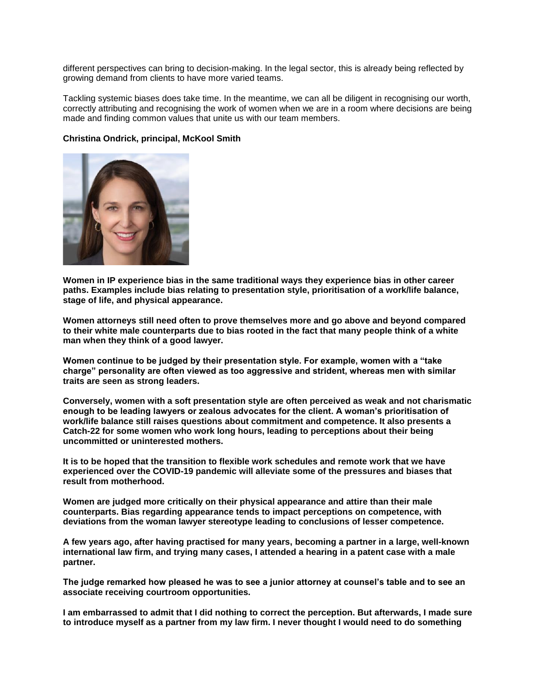different perspectives can bring to decision-making. In the legal sector, this is already being reflected by growing demand from clients to have more varied teams.

Tackling systemic biases does take time. In the meantime, we can all be diligent in recognising our worth, correctly attributing and recognising the work of women when we are in a room where decisions are being made and finding common values that unite us with our team members.

## **Christina Ondrick, principal, McKool Smith**



**Women in IP experience bias in the same traditional ways they experience bias in other career paths. Examples include bias relating to presentation style, prioritisation of a work/life balance, stage of life, and physical appearance.**

**Women attorneys still need often to prove themselves more and go above and beyond compared to their white male counterparts due to bias rooted in the fact that many people think of a white man when they think of a good lawyer.**

**Women continue to be judged by their presentation style. For example, women with a "take charge" personality are often viewed as too aggressive and strident, whereas men with similar traits are seen as strong leaders.**

**Conversely, women with a soft presentation style are often perceived as weak and not charismatic enough to be leading lawyers or zealous advocates for the client. A woman's prioritisation of work/life balance still raises questions about commitment and competence. It also presents a Catch-22 for some women who work long hours, leading to perceptions about their being uncommitted or uninterested mothers.**

**It is to be hoped that the transition to flexible work schedules and remote work that we have experienced over the COVID-19 pandemic will alleviate some of the pressures and biases that result from motherhood.**

**Women are judged more critically on their physical appearance and attire than their male counterparts. Bias regarding appearance tends to impact perceptions on competence, with deviations from the woman lawyer stereotype leading to conclusions of lesser competence.**

**A few years ago, after having practised for many years, becoming a partner in a large, well-known international law firm, and trying many cases, I attended a hearing in a patent case with a male partner.**

**The judge remarked how pleased he was to see a junior attorney at counsel's table and to see an associate receiving courtroom opportunities.**

**I am embarrassed to admit that I did nothing to correct the perception. But afterwards, I made sure to introduce myself as a partner from my law firm. I never thought I would need to do something**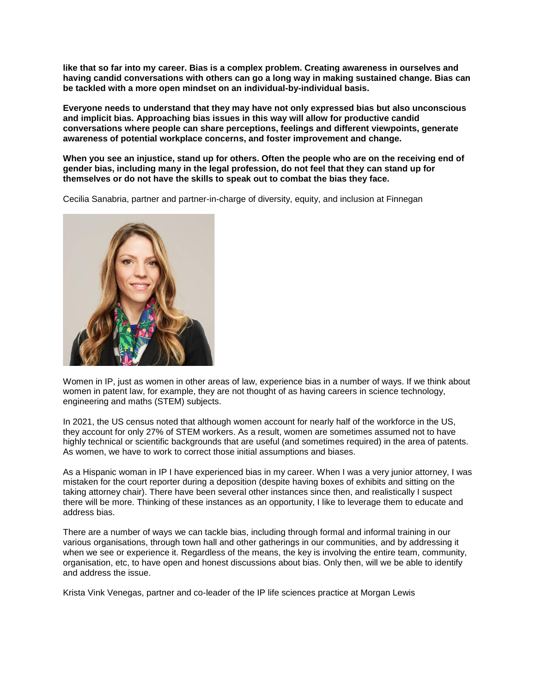**like that so far into my career. Bias is a complex problem. Creating awareness in ourselves and having candid conversations with others can go a long way in making sustained change. Bias can be tackled with a more open mindset on an individual-by-individual basis.**

**Everyone needs to understand that they may have not only expressed bias but also unconscious and implicit bias. Approaching bias issues in this way will allow for productive candid conversations where people can share perceptions, feelings and different viewpoints, generate awareness of potential workplace concerns, and foster improvement and change.**

**When you see an injustice, stand up for others. Often the people who are on the receiving end of gender bias, including many in the legal profession, do not feel that they can stand up for themselves or do not have the skills to speak out to combat the bias they face.**

Cecilia Sanabria, partner and partner-in-charge of diversity, equity, and inclusion at Finnegan



Women in IP, just as women in other areas of law, experience bias in a number of ways. If we think about women in patent law, for example, they are not thought of as having careers in science technology, engineering and maths (STEM) subjects.

In 2021, the US census noted that although women account for nearly half of the workforce in the US, they account for only 27% of STEM workers. As a result, women are sometimes assumed not to have highly technical or scientific backgrounds that are useful (and sometimes required) in the area of patents. As women, we have to work to correct those initial assumptions and biases.

As a Hispanic woman in IP I have experienced bias in my career. When I was a very junior attorney, I was mistaken for the court reporter during a deposition (despite having boxes of exhibits and sitting on the taking attorney chair). There have been several other instances since then, and realistically I suspect there will be more. Thinking of these instances as an opportunity, I like to leverage them to educate and address bias.

There are a number of ways we can tackle bias, including through formal and informal training in our various organisations, through town hall and other gatherings in our communities, and by addressing it when we see or experience it. Regardless of the means, the key is involving the entire team, community, organisation, etc, to have open and honest discussions about bias. Only then, will we be able to identify and address the issue.

Krista Vink Venegas, partner and co-leader of the IP life sciences practice at Morgan Lewis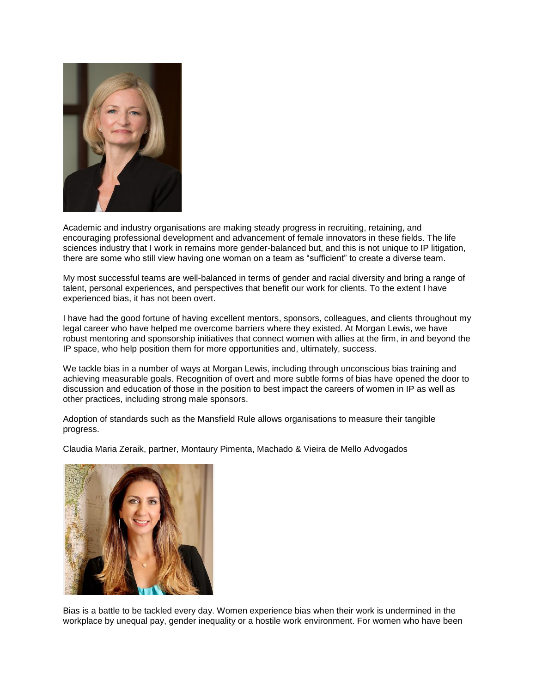

Academic and industry organisations are making steady progress in recruiting, retaining, and encouraging professional development and advancement of female innovators in these fields. The life sciences industry that I work in remains more gender-balanced but, and this is not unique to IP litigation, there are some who still view having one woman on a team as "sufficient" to create a diverse team.

My most successful teams are well-balanced in terms of gender and racial diversity and bring a range of talent, personal experiences, and perspectives that benefit our work for clients. To the extent I have experienced bias, it has not been overt.

I have had the good fortune of having excellent mentors, sponsors, colleagues, and clients throughout my legal career who have helped me overcome barriers where they existed. At Morgan Lewis, we have robust mentoring and sponsorship initiatives that connect women with allies at the firm, in and beyond the IP space, who help position them for more opportunities and, ultimately, success.

We tackle bias in a number of ways at Morgan Lewis, including through unconscious bias training and achieving measurable goals. Recognition of overt and more subtle forms of bias have opened the door to discussion and education of those in the position to best impact the careers of women in IP as well as other practices, including strong male sponsors.

Adoption of standards such as the Mansfield Rule allows organisations to measure their tangible progress.

Claudia Maria Zeraik, partner, Montaury Pimenta, Machado & Vieira de Mello Advogados



Bias is a battle to be tackled every day. Women experience bias when their work is undermined in the workplace by unequal pay, gender inequality or a hostile work environment. For women who have been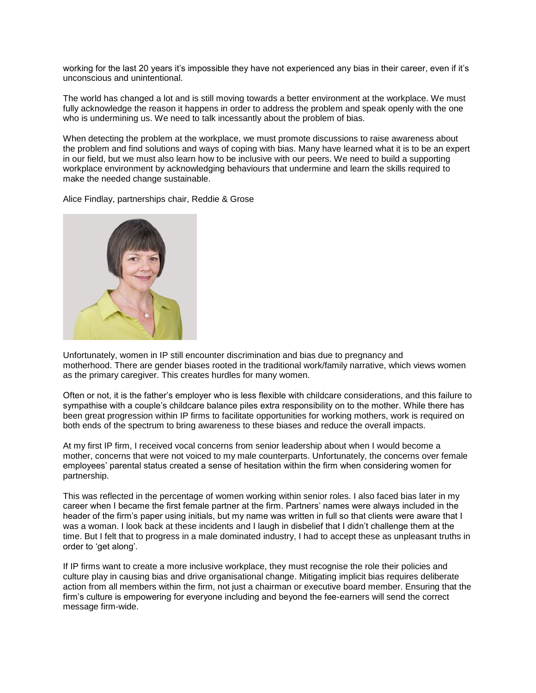working for the last 20 years it's impossible they have not experienced any bias in their career, even if it's unconscious and unintentional.

The world has changed a lot and is still moving towards a better environment at the workplace. We must fully acknowledge the reason it happens in order to address the problem and speak openly with the one who is undermining us. We need to talk incessantly about the problem of bias.

When detecting the problem at the workplace, we must promote discussions to raise awareness about the problem and find solutions and ways of coping with bias. Many have learned what it is to be an expert in our field, but we must also learn how to be inclusive with our peers. We need to build a supporting workplace environment by acknowledging behaviours that undermine and learn the skills required to make the needed change sustainable.

Alice Findlay, partnerships chair, Reddie & Grose



Unfortunately, women in IP still encounter discrimination and bias due to pregnancy and motherhood. There are gender biases rooted in the traditional work/family narrative, which views women as the primary caregiver. This creates hurdles for many women.

Often or not, it is the father's employer who is less flexible with childcare considerations, and this failure to sympathise with a couple's childcare balance piles extra responsibility on to the mother. While there has been great progression within IP firms to facilitate opportunities for working mothers, work is required on both ends of the spectrum to bring awareness to these biases and reduce the overall impacts.

At my first IP firm, I received vocal concerns from senior leadership about when I would become a mother, concerns that were not voiced to my male counterparts. Unfortunately, the concerns over female employees' parental status created a sense of hesitation within the firm when considering women for partnership.

This was reflected in the percentage of women working within senior roles. I also faced bias later in my career when I became the first female partner at the firm. Partners' names were always included in the header of the firm's paper using initials, but my name was written in full so that clients were aware that I was a woman. I look back at these incidents and I laugh in disbelief that I didn't challenge them at the time. But I felt that to progress in a male dominated industry, I had to accept these as unpleasant truths in order to 'get along'.

If IP firms want to create a more inclusive workplace, they must recognise the role their policies and culture play in causing bias and drive organisational change. Mitigating implicit bias requires deliberate action from all members within the firm, not just a chairman or executive board member. Ensuring that the firm's culture is empowering for everyone including and beyond the fee-earners will send the correct message firm-wide.